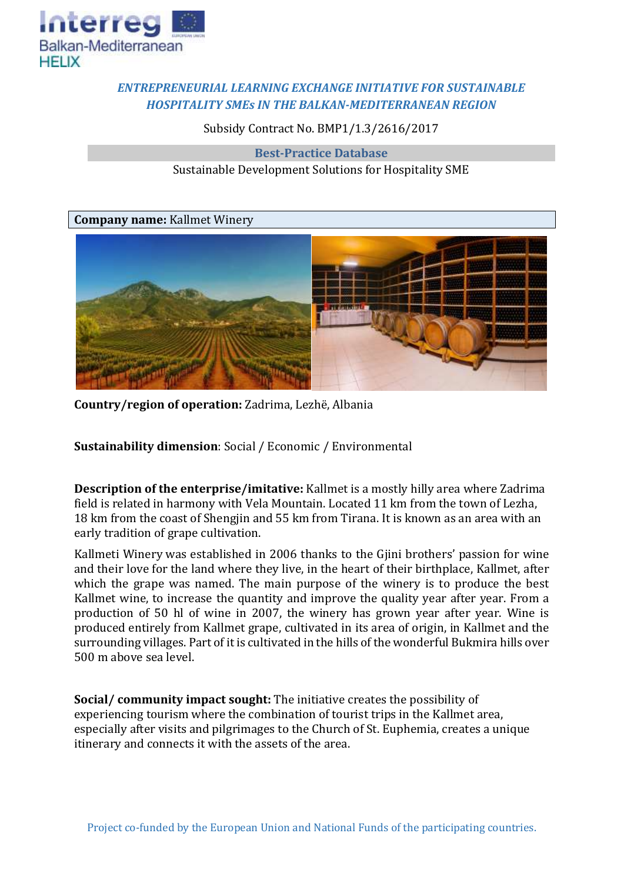

## *ENTREPRENEURIAL LEARNING EXCHANGE INITIATIVE FOR SUSTAINABLE HOSPITALITY SMEs IN THE BALKAN-MEDITERRANEAN REGION*

Subsidy Contract No. BMP1/1.3/2616/2017

**Best-Practice Database** Sustainable Development Solutions for Hospitality SME

**Company name:** Kallmet Winery



**Country/region of operation:** Zadrima, Lezhë, Albania

**Sustainability dimension**: Social / Economic / Environmental

**Description of the enterprise/imitative:** Kallmet is a mostly hilly area where Zadrima field is related in harmony with Vela Mountain. Located 11 km from the town of Lezha, 18 km from the coast of Shengjin and 55 km from Tirana. It is known as an area with an early tradition of grape cultivation.

Kallmeti Winery was established in 2006 thanks to the Gjini brothers' passion for wine and their love for the land where they live, in the heart of their birthplace, Kallmet, after which the grape was named. The main purpose of the winery is to produce the best Kallmet wine, to increase the quantity and improve the quality year after year. From a production of 50 hl of wine in 2007, the winery has grown year after year. Wine is produced entirely from Kallmet grape, cultivated in its area of origin, in Kallmet and the surrounding villages. Part of it is cultivated in the hills of the wonderful Bukmira hills over 500 m above sea level.

**Social/ community impact sought:** The initiative creates the possibility of experiencing tourism where the combination of tourist trips in the Kallmet area, especially after visits and pilgrimages to the Church of St. Euphemia, creates a unique itinerary and connects it with the assets of the area.